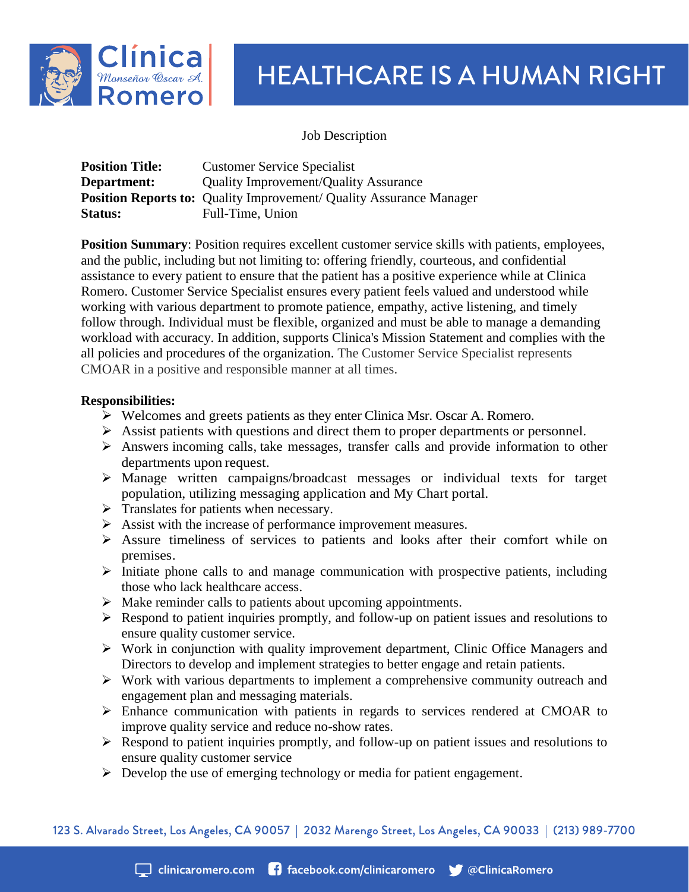

## **HEALTHCARE IS A HUMAN RIGHT**

#### Job Description

| <b>Position Title:</b> | <b>Customer Service Specialist</b>                                         |
|------------------------|----------------------------------------------------------------------------|
| Department:            | <b>Quality Improvement/Quality Assurance</b>                               |
|                        | <b>Position Reports to:</b> Quality Improvement/ Quality Assurance Manager |
| <b>Status:</b>         | Full-Time, Union                                                           |

**Position Summary**: Position requires excellent customer service skills with patients, employees, and the public, including but not limiting to: offering friendly, courteous, and confidential assistance to every patient to ensure that the patient has a positive experience while at Clinica Romero. Customer Service Specialist ensures every patient feels valued and understood while working with various department to promote patience, empathy, active listening, and timely follow through. Individual must be flexible, organized and must be able to manage a demanding workload with accuracy. In addition, supports Clinica's Mission Statement and complies with the all policies and procedures of the organization. The Customer Service Specialist represents CMOAR in a positive and responsible manner at all times.

#### **Responsibilities:**

- Welcomes and greets patients as they enter Clinica Msr. Oscar A. Romero.
- Assist patients with questions and direct them to proper departments or personnel.
- $\triangleright$  Answers incoming calls, take messages, transfer calls and provide information to other departments upon request.
- Manage written campaigns/broadcast messages or individual texts for target population, utilizing messaging application and My Chart portal.
- $\triangleright$  Translates for patients when necessary.
- $\triangleright$  Assist with the increase of performance improvement measures.
- Assure timeliness of services to patients and looks after their comfort while on premises.
- $\triangleright$  Initiate phone calls to and manage communication with prospective patients, including those who lack healthcare access.
- $\triangleright$  Make reminder calls to patients about upcoming appointments.
- Respond to patient inquiries promptly, and follow-up on patient issues and resolutions to ensure quality customer service.
- $\triangleright$  Work in conjunction with quality improvement department, Clinic Office Managers and Directors to develop and implement strategies to better engage and retain patients.
- $\triangleright$  Work with various departments to implement a comprehensive community outreach and engagement plan and messaging materials.
- Enhance communication with patients in regards to services rendered at CMOAR to improve quality service and reduce no-show rates.
- $\triangleright$  Respond to patient inquiries promptly, and follow-up on patient issues and resolutions to ensure quality customer service
- $\triangleright$  Develop the use of emerging technology or media for patient engagement.

123 S. Alvarado Street, Los Angeles, CA 90057 | 2032 Marengo Street, Los Angeles, CA 90033 | (213) 989-7700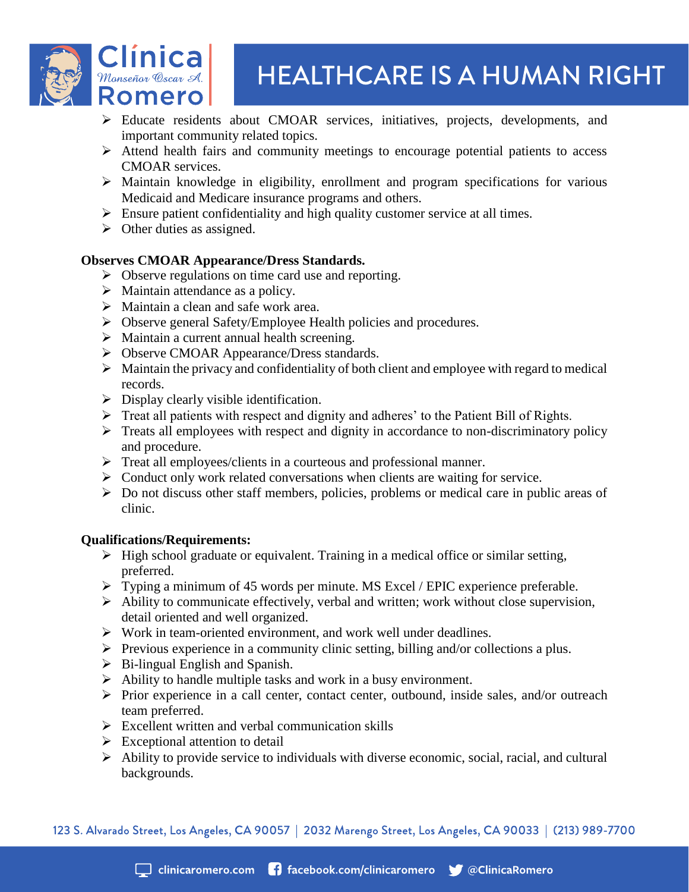

# **HEALTHCARE IS A HUMAN RIGHT**

- Educate residents about CMOAR services, initiatives, projects, developments, and important community related topics.
- $\triangleright$  Attend health fairs and community meetings to encourage potential patients to access CMOAR services.
- $\triangleright$  Maintain knowledge in eligibility, enrollment and program specifications for various Medicaid and Medicare insurance programs and others.
- $\triangleright$  Ensure patient confidentiality and high quality customer service at all times.
- $\triangleright$  Other duties as assigned.

### **Observes CMOAR Appearance/Dress Standards.**

- $\triangleright$  Observe regulations on time card use and reporting.
- $\triangleright$  Maintain attendance as a policy.
- $\triangleright$  Maintain a clean and safe work area.
- Observe general Safety/Employee Health policies and procedures.
- $\triangleright$  Maintain a current annual health screening.
- Observe CMOAR Appearance/Dress standards.
- $\triangleright$  Maintain the privacy and confidentiality of both client and employee with regard to medical records.
- $\triangleright$  Display clearly visible identification.
- Freat all patients with respect and dignity and adheres' to the Patient Bill of Rights.
- $\triangleright$  Treats all employees with respect and dignity in accordance to non-discriminatory policy and procedure.
- Treat all employees/clients in a courteous and professional manner.
- $\triangleright$  Conduct only work related conversations when clients are waiting for service.
- $\triangleright$  Do not discuss other staff members, policies, problems or medical care in public areas of clinic.

#### **Qualifications/Requirements:**

- $\triangleright$  High school graduate or equivalent. Training in a medical office or similar setting, preferred.
- Typing a minimum of 45 words per minute. MS Excel / EPIC experience preferable.
- $\triangleright$  Ability to communicate effectively, verbal and written; work without close supervision, detail oriented and well organized.
- Work in team-oriented environment, and work well under deadlines.
- $\triangleright$  Previous experience in a community clinic setting, billing and/or collections a plus.
- $\triangleright$  Bi-lingual English and Spanish.
- $\triangleright$  Ability to handle multiple tasks and work in a busy environment.
- $\triangleright$  Prior experience in a call center, contact center, outbound, inside sales, and/or outreach team preferred.
- Excellent written and verbal communication skills
- $\triangleright$  Exceptional attention to detail
- $\triangleright$  Ability to provide service to individuals with diverse economic, social, racial, and cultural backgrounds.

123 S. Alvarado Street, Los Angeles, CA 90057 | 2032 Marengo Street, Los Angeles, CA 90033 | (213) 989-7700